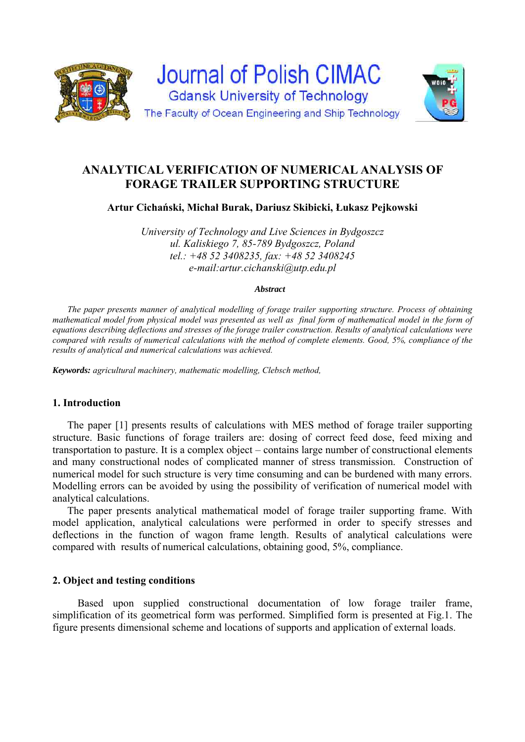

# **ANALYTICAL VERIFICATION OF NUMERICAL ANALYSIS OF FORAGE TRAILER SUPPORTING STRUCTURE**

**Artur Cichański, Michał Burak, Dariusz Skibicki, Łukasz Pejkowski** 

*University of Technology and Live Sciences in Bydgoszcz ul. Kaliskiego 7, 85-789 Bydgoszcz, Poland tel.: +48 52 3408235, fax: +48 52 3408245 e-mail:artur.cichanski@utp.edu.pl* 

#### *Abstract*

*The paper presents manner of analytical modelling of forage trailer supporting structure. Process of obtaining*  mathematical model from physical model was presented as well as final form of mathematical model in the form of *equations describing deflections and stresses of the forage trailer construction. Results of analytical calculations were compared with results of numerical calculations with the method of complete elements. Good, 5%, compliance of the results of analytical and numerical calculations was achieved.* 

*Keywords: agricultural machinery, mathematic modelling, Clebsch method,* 

## **1. Introduction**

The paper [1] presents results of calculations with MES method of forage trailer supporting structure. Basic functions of forage trailers are: dosing of correct feed dose, feed mixing and transportation to pasture. It is a complex object – contains large number of constructional elements and many constructional nodes of complicated manner of stress transmission. Construction of numerical model for such structure is very time consuming and can be burdened with many errors. Modelling errors can be avoided by using the possibility of verification of numerical model with analytical calculations.

The paper presents analytical mathematical model of forage trailer supporting frame. With model application, analytical calculations were performed in order to specify stresses and deflections in the function of wagon frame length. Results of analytical calculations were compared with results of numerical calculations, obtaining good, 5%, compliance.

## **2. Object and testing conditions**

Based upon supplied constructional documentation of low forage trailer frame, simplification of its geometrical form was performed. Simplified form is presented at Fig.1. The figure presents dimensional scheme and locations of supports and application of external loads.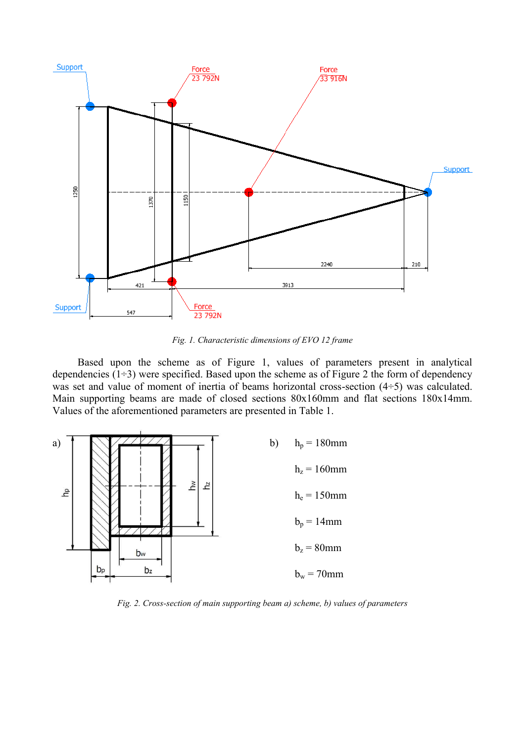

*Fig. 1. Characteristic dimensions of EVO 12 frame* 

Based upon the scheme as of Figure 1, values of parameters present in analytical dependencies  $(1\div 3)$  were specified. Based upon the scheme as of Figure 2 the form of dependency was set and value of moment of inertia of beams horizontal cross-section  $(4\div 5)$  was calculated. Main supporting beams are made of closed sections 80x160mm and flat sections 180x14mm. Values of the aforementioned parameters are presented in Table 1.



*Fig. 2. Cross-section of main supporting beam a) scheme, b) values of parameters*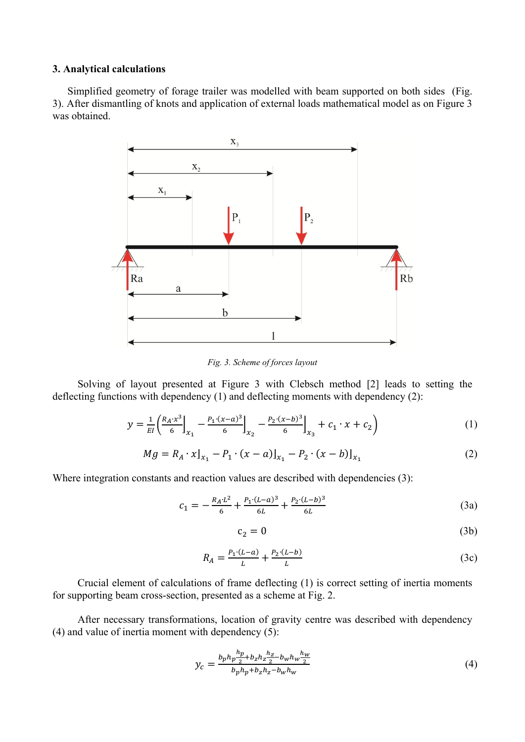#### **3. Analytical calculations**

Simplified geometry of forage trailer was modelled with beam supported on both sides (Fig. 3). After dismantling of knots and application of external loads mathematical model as on Figure 3 was obtained.



*Fig. 3. Scheme of forces layout* 

Solving of layout presented at Figure 3 with Clebsch method [2] leads to setting the deflecting functions with dependency (1) and deflecting moments with dependency (2):

$$
y = \frac{1}{EI} \left( \frac{R_A \cdot x^3}{6} \Big|_{x_1} - \frac{P_1 \cdot (x - a)^3}{6} \Big|_{x_2} - \frac{P_2 \cdot (x - b)^3}{6} \Big|_{x_3} + c_1 \cdot x + c_2 \right) \tag{1}
$$

$$
Mg = R_A \cdot x|_{x_1} - P_1 \cdot (x - a)|_{x_1} - P_2 \cdot (x - b)|_{x_1}
$$
 (2)

Where integration constants and reaction values are described with dependencies (3):

$$
c_1 = -\frac{R_A L^2}{6} + \frac{P_1 (L-a)^3}{6L} + \frac{P_2 (L-b)^3}{6L}
$$
\n(3a)

$$
c_2 = 0 \tag{3b}
$$

$$
R_A = \frac{P_1 \cdot (L - a)}{L} + \frac{P_2 \cdot (L - b)}{L} \tag{3c}
$$

Crucial element of calculations of frame deflecting (1) is correct setting of inertia moments for supporting beam cross-section, presented as a scheme at Fig. 2.

After necessary transformations, location of gravity centre was described with dependency (4) and value of inertia moment with dependency (5):

$$
y_c = \frac{b_p h_p \frac{h_p}{2} + b_z h_z \frac{h_z}{2} - b_w h_w \frac{h_w}{2}}{b_p h_p + b_z h_z - b_w h_w} \tag{4}
$$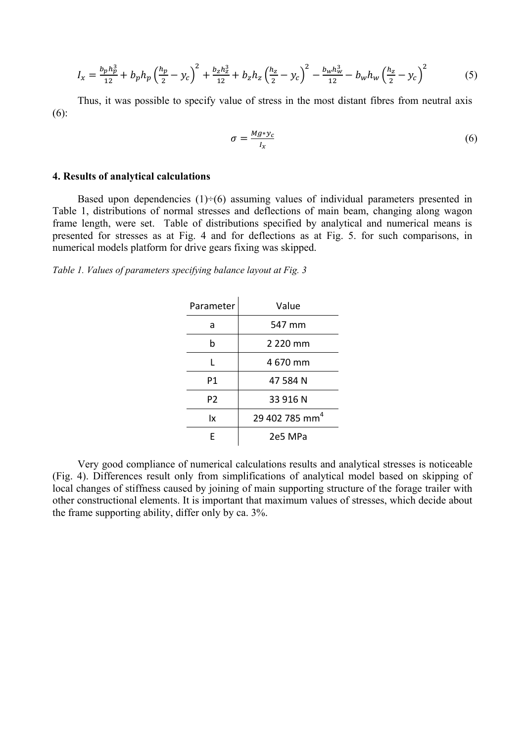$$
I_x = \frac{b_p h_p^3}{12} + b_p h_p \left(\frac{h_p}{2} - y_c\right)^2 + \frac{b_z h_z^3}{12} + b_z h_z \left(\frac{h_z}{2} - y_c\right)^2 - \frac{b_w h_w^3}{12} - b_w h_w \left(\frac{h_z}{2} - y_c\right)^2 \tag{5}
$$

Thus, it was possible to specify value of stress in the most distant fibres from neutral axis (6):

$$
\sigma = \frac{Mg * y_c}{I_x} \tag{6}
$$

#### **4. Results of analytical calculations**

Based upon dependencies  $(1) \div (6)$  assuming values of individual parameters presented in Table 1, distributions of normal stresses and deflections of main beam, changing along wagon frame length, were set. Table of distributions specified by analytical and numerical means is presented for stresses as at Fig. 4 and for deflections as at Fig. 5. for such comparisons, in numerical models platform for drive gears fixing was skipped.

*Table 1. Values of parameters specifying balance layout at Fig. 3* 

| Parameter      | Value                      |
|----------------|----------------------------|
| a              | 547 mm                     |
| b              | 2 2 2 0 mm                 |
| L              | 4670 mm                    |
| P1             | 47 584 N                   |
| P <sub>2</sub> | 33 916 N                   |
| lχ             | 29 402 785 mm <sup>4</sup> |
| F              | 2e5 MPa                    |

Very good compliance of numerical calculations results and analytical stresses is noticeable (Fig. 4). Differences result only from simplifications of analytical model based on skipping of local changes of stiffness caused by joining of main supporting structure of the forage trailer with other constructional elements. It is important that maximum values of stresses, which decide about the frame supporting ability, differ only by ca. 3%.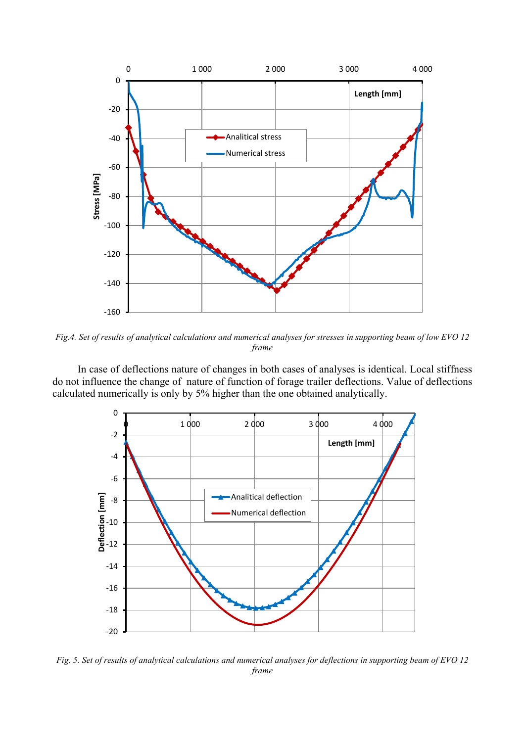

*Fig.4. Set of results of analytical calculations and numerical analyses for stresses in supporting beam of low EVO 12 frame* 

In case of deflections nature of changes in both cases of analyses is identical. Local stiffness do not influence the change of nature of function of forage trailer deflections. Value of deflections calculated numerically is only by 5% higher than the one obtained analytically.



*Fig. 5. Set of results of analytical calculations and numerical analyses for deflections in supporting beam of EVO 12 frame*